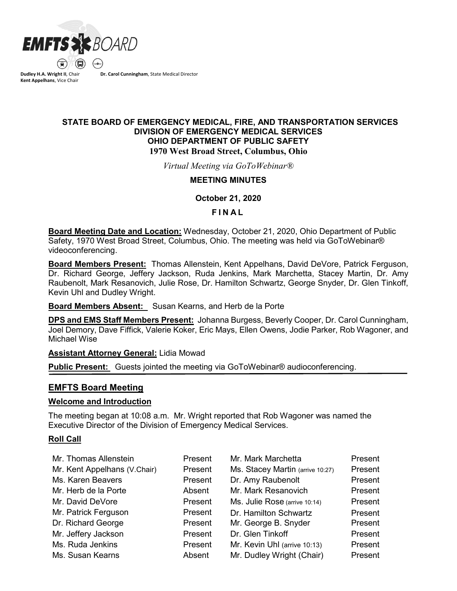

**Dudley H.A. Wright II**, Chair **Kent Appelhans**, Vice Chair

**Dr. Carol Cunningham**, State Medical Director

## **STATE BOARD OF EMERGENCY MEDICAL, FIRE, AND TRANSPORTATION SERVICES DIVISION OF EMERGENCY MEDICAL SERVICES OHIO DEPARTMENT OF PUBLIC SAFETY 1970 West Broad Street, Columbus, Ohio**

*Virtual Meeting via GoToWebinar®*

### **MEETING MINUTES**

**October 21, 2020** 

### **F INAL**

**Board Meeting Date and Location:** Wednesday, October 21, 2020, Ohio Department of Public Safety, 1970 West Broad Street, Columbus, Ohio. The meeting was held via GoToWebinar® videoconferencing.

**Board Members Present:** Thomas Allenstein, Kent Appelhans, David DeVore, Patrick Ferguson, Dr. Richard George, Jeffery Jackson, Ruda Jenkins, Mark Marchetta, Stacey Martin, Dr. Amy Raubenolt, Mark Resanovich, Julie Rose, Dr. Hamilton Schwartz, George Snyder, Dr. Glen Tinkoff, Kevin Uhl and Dudley Wright.

**Board Members Absent:** Susan Kearns, and Herb de la Porte

**DPS and EMS Staff Members Present:** Johanna Burgess, Beverly Cooper, Dr. Carol Cunningham, Joel Demory, Dave Fiffick, Valerie Koker, Eric Mays, Ellen Owens, Jodie Parker, Rob Wagoner, and Michael Wise

**Assistant Attorney General:** Lidia Mowad

**Public Present:** Guests jointed the meeting via GoToWebinar® audioconferencing.

# **EMFTS Board Meeting**

## **Welcome and Introduction**

The meeting began at 10:08 a.m. Mr. Wright reported that Rob Wagoner was named the Executive Director of the Division of Emergency Medical Services.

## **Roll Call**

| Mr. Thomas Allenstein        | Present | Mr. Mark Marchetta               | Present |
|------------------------------|---------|----------------------------------|---------|
|                              |         |                                  |         |
| Mr. Kent Appelhans (V.Chair) | Present | Ms. Stacey Martin (arrive 10:27) | Present |
| Ms. Karen Beavers            | Present | Dr. Amy Raubenolt                | Present |
| Mr. Herb de la Porte         | Absent  | Mr. Mark Resanovich              | Present |
| Mr. David DeVore             | Present | Ms. Julie Rose (arrive 10:14)    | Present |
| Mr. Patrick Ferguson         | Present | Dr. Hamilton Schwartz            | Present |
| Dr. Richard George           | Present | Mr. George B. Snyder             | Present |
| Mr. Jeffery Jackson          | Present | Dr. Glen Tinkoff                 | Present |
| Ms. Ruda Jenkins             | Present | Mr. Kevin Uhl (arrive 10:13)     | Present |
| Ms. Susan Kearns             | Absent  | Mr. Dudley Wright (Chair)        | Present |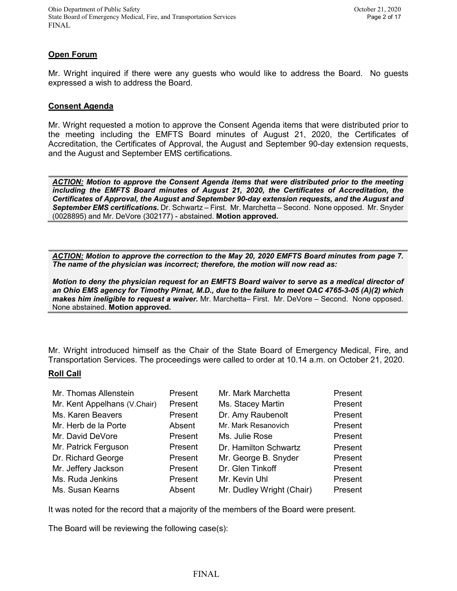## **Open Forum**

Mr. Wright inquired if there were any guests who would like to address the Board. No guests expressed a wish to address the Board.

#### **Consent Agenda**

Mr. Wright requested a motion to approve the Consent Agenda items that were distributed prior to the meeting including the EMFTS Board minutes of August 21, 2020, the Certificates of Accreditation, the Certificates of Approval, the August and September 90-day extension requests, and the August and September EMS certifications.

*ACTION: Motion to approve the Consent Agenda items that were distributed prior to the meeting including the EMFTS Board minutes of August 21, 2020, the Certificates of Accreditation, the Certificates of Approval, the August and September 90-day extension requests, and the August and September EMS certifications.* Dr. Schwartz – First. Mr. Marchetta – Second. None opposed. Mr. Snyder (0028895) and Mr. DeVore (302177) - abstained. **Motion approved.**

*ACTION: Motion to approve the correction to the May 20, 2020 EMFTS Board minutes from page 7. The name of the physician was incorrect; therefore, the motion will now read as:*

*Motion to deny the physician request for an EMFTS Board waiver to serve as a medical director of an Ohio EMS agency for Timothy Pirnat, M.D., due to the failure to meet OAC 4765-3-05 (A)(2) which makes him ineligible to request a waiver.* Mr. Marchetta– First. Mr. DeVore – Second. None opposed. None abstained. **Motion approved.**

Mr. Wright introduced himself as the Chair of the State Board of Emergency Medical, Fire, and Transportation Services. The proceedings were called to order at 10.14 a.m. on October 21, 2020.

#### **Roll Call**

| Mr. Thomas Allenstein        | Present | Mr. Mark Marchetta        | Present |
|------------------------------|---------|---------------------------|---------|
| Mr. Kent Appelhans (V.Chair) | Present | Ms. Stacey Martin         | Present |
| Ms. Karen Beavers            | Present | Dr. Amy Raubenolt         | Present |
| Mr. Herb de la Porte         | Absent  | Mr. Mark Resanovich       | Present |
| Mr. David DeVore             | Present | Ms. Julie Rose            | Present |
| Mr. Patrick Ferguson         | Present | Dr. Hamilton Schwartz     | Present |
| Dr. Richard George           | Present | Mr. George B. Snyder      | Present |
| Mr. Jeffery Jackson          | Present | Dr. Glen Tinkoff          | Present |
| Ms. Ruda Jenkins             | Present | Mr. Kevin Uhl             | Present |
| Ms. Susan Kearns             | Absent  | Mr. Dudley Wright (Chair) | Present |

It was noted for the record that a majority of the members of the Board were present.

The Board will be reviewing the following case(s):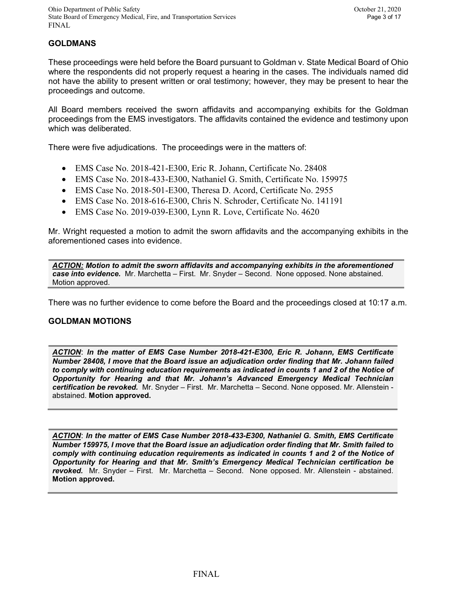# **GOLDMANS**

These proceedings were held before the Board pursuant to Goldman v. State Medical Board of Ohio where the respondents did not properly request a hearing in the cases. The individuals named did not have the ability to present written or oral testimony; however, they may be present to hear the proceedings and outcome.

All Board members received the sworn affidavits and accompanying exhibits for the Goldman proceedings from the EMS investigators. The affidavits contained the evidence and testimony upon which was deliberated.

There were five adjudications. The proceedings were in the matters of:

- EMS Case No. 2018-421-E300, Eric R. Johann, Certificate No. 28408
- EMS Case No. 2018-433-E300, Nathaniel G. Smith, Certificate No. 159975
- EMS Case No. 2018-501-E300, Theresa D. Acord, Certificate No. 2955
- EMS Case No. 2018-616-E300, Chris N. Schroder, Certificate No. 141191
- EMS Case No. 2019-039-E300, Lynn R. Love, Certificate No. 4620

Mr. Wright requested a motion to admit the sworn affidavits and the accompanying exhibits in the aforementioned cases into evidence.

*ACTION: Motion to admit the sworn affidavits and accompanying exhibits in the aforementioned case into evidence.* Mr. Marchetta – First. Mr. Snyder – Second. None opposed. None abstained. Motion approved.

There was no further evidence to come before the Board and the proceedings closed at 10:17 a.m.

## **GOLDMAN MOTIONS**

*ACTION*: *In the matter of EMS Case Number 2018-421-E300, Eric R. Johann, EMS Certificate Number 28408, I move that the Board issue an adjudication order finding that Mr. Johann failed to comply with continuing education requirements as indicated in counts 1 and 2 of the Notice of Opportunity for Hearing and that Mr. Johann's Advanced Emergency Medical Technician certification be revoked.* Mr. Snyder – First. Mr. Marchetta – Second. None opposed. Mr. Allenstein abstained. **Motion approved.**

*ACTION*: *In the matter of EMS Case Number 2018-433-E300, Nathaniel G. Smith, EMS Certificate Number 159975, I move that the Board issue an adjudication order finding that Mr. Smith failed to comply with continuing education requirements as indicated in counts 1 and 2 of the Notice of Opportunity for Hearing and that Mr. Smith's Emergency Medical Technician certification be revoked.* Mr. Snyder – First. Mr. Marchetta – Second. None opposed. Mr. Allenstein - abstained. **Motion approved.**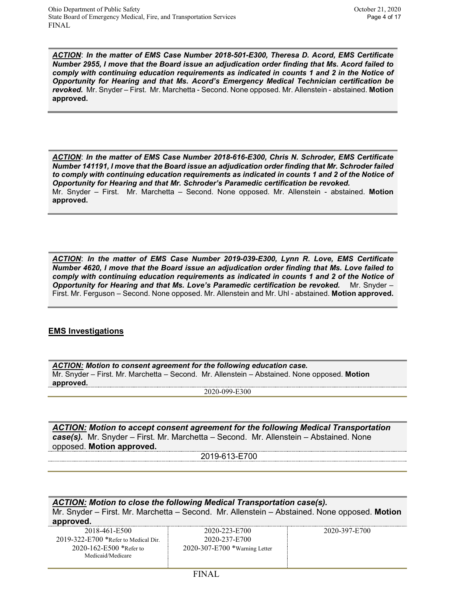*ACTION*: *In the matter of EMS Case Number 2018-501-E300, Theresa D. Acord, EMS Certificate Number 2955, I move that the Board issue an adjudication order finding that Ms. Acord failed to comply with continuing education requirements as indicated in counts 1 and 2 in the Notice of Opportunity for Hearing and that Ms. Acord's Emergency Medical Technician certification be revoked.* Mr. Snyder – First. Mr. Marchetta - Second. None opposed. Mr. Allenstein - abstained. **Motion approved.**

*ACTION*: *In the matter of EMS Case Number 2018-616-E300, Chris N. Schroder, EMS Certificate Number 141191, I move that the Board issue an adjudication order finding that Mr. Schroder failed to comply with continuing education requirements as indicated in counts 1 and 2 of the Notice of Opportunity for Hearing and that Mr. Schroder's Paramedic certification be revoked.*  Mr. Snyder – First. Mr. Marchetta – Second. None opposed. Mr. Allenstein - abstained. **Motion approved.**

*ACTION*: *In the matter of EMS Case Number 2019-039-E300, Lynn R. Love, EMS Certificate Number 4620, I move that the Board issue an adjudication order finding that Ms. Love failed to comply with continuing education requirements as indicated in counts 1 and 2 of the Notice of Opportunity for Hearing and that Ms. Love's Paramedic certification be revoked.* Mr. Snyder – First. Mr. Ferguson – Second. None opposed. Mr. Allenstein and Mr. Uhl - abstained. **Motion approved.**

## **EMS Investigations**

| ACTION: Motion to consent agreement for the following education case.                        |  |  |
|----------------------------------------------------------------------------------------------|--|--|
| Mr. Snyder – First. Mr. Marchetta – Second. Mr. Allenstein – Abstained. None opposed. Motion |  |  |
| approved.                                                                                    |  |  |
| 2020-099-E300                                                                                |  |  |

*ACTION: Motion to accept consent agreement for the following Medical Transportation case(s).* Mr. Snyder – First. Mr. Marchetta – Second. Mr. Allenstein – Abstained. None opposed. **Motion approved.**

2019-613-E700

*ACTION: Motion to close the following Medical Transportation case(s).* Mr. Snyder – First. Mr. Marchetta – Second. Mr. Allenstein – Abstained. None opposed. **Motion approved.** 2018-461-E500

2019-322-E700 \*Refer to Medical Dir. 2020-162-E500 \*Refer to Medicaid/Medicare

2020-223-E700 2020-237-E700 2020-307-E700 \*Warning Letter 2020-397-E700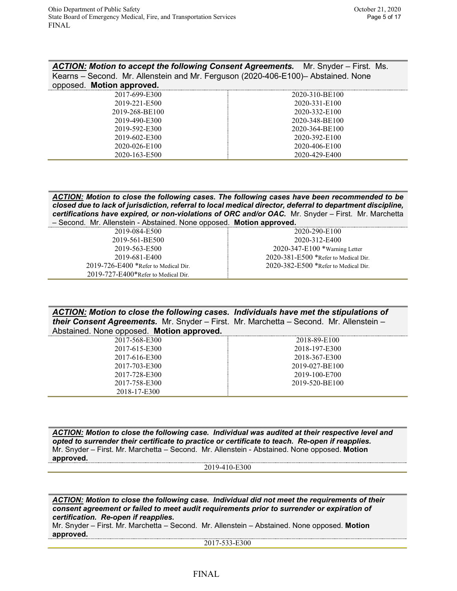| <b>ACTION: Motion to accept the following Consent Agreements.</b> Mr. Snyder – First. Ms. |                |  |
|-------------------------------------------------------------------------------------------|----------------|--|
| Kearns – Second. Mr. Allenstein and Mr. Ferguson (2020-406-E100)– Abstained. None         |                |  |
| opposed. Motion approved.                                                                 |                |  |
| 2017-699-E300                                                                             | 2020-310-BE100 |  |
| 0.010,0.01,0.00                                                                           | 0.0000010100   |  |

| 2019-221-E500  | 2020-331-E100  |
|----------------|----------------|
| 2019-268-BE100 | 2020-332-E100  |
| 2019-490-E300  | 2020-348-BE100 |
| 2019-592-E300  | 2020-364-BE100 |
| 2019-602-E300  | 2020-392-E100  |
| 2020-026-E100  | 2020-406-E100  |
| 2020-163-E500  | 2020-429-E400  |
|                |                |

*ACTION: Motion to close the following cases. The following cases have been recommended to be closed due to lack of jurisdiction, referral to local medical director, deferral to department discipline, certifications have expired, or non-violations of ORC and/or OAC.* Mr. Snyder – First. Mr. Marchetta – Second. Mr. Allenstein - Abstained. None opposed. **Motion approved.**

| 2019-084-E500                              | 2020-290-E100                              |
|--------------------------------------------|--------------------------------------------|
| 2019-561-BE500                             | 2020-312-E400                              |
| 2019-563-E500                              | $2020 - 347 - E100$ *Warning Letter        |
| 2019-681-E400                              | $2020 - 381 - E500$ *Refer to Medical Dir. |
| $2019 - 726 - E400$ *Refer to Medical Dir. | $2020 - 382 - E500$ *Refer to Medical Dir. |
| $2019 - 727 - E400*$ Refer to Medical Dir. |                                            |

*ACTION: Motion to close the following cases. Individuals have met the stipulations of their Consent Agreements.* Mr. Snyder – First. Mr. Marchetta – Second. Mr. Allenstein – Abstained. None opposed. **Motion approved.**

| $1.000$ and $0.1000$ and $0.0000$ are the contracted and $0.0000$ |                |
|-------------------------------------------------------------------|----------------|
| 2017-568-E300                                                     | 2018-89-E100   |
| 2017-615-E300                                                     | 2018-197-E300  |
| 2017-616-E300                                                     | 2018-367-E300  |
| 2017-703-E300                                                     | 2019-027-BE100 |
| 2017-728-E300                                                     | 2019-100-E700  |
| 2017-758-E300                                                     | 2019-520-BE100 |
| 2018-17-E300                                                      |                |
|                                                                   |                |

*ACTION: Motion to close the following case. Individual was audited at their respective level and opted to surrender their certificate to practice or certificate to teach. Re-open if reapplies.*  Mr. Snyder – First. Mr. Marchetta – Second. Mr. Allenstein - Abstained. None opposed. **Motion approved.**

2019-410-E300

*ACTION: Motion to close the following case. Individual did not meet the requirements of their consent agreement or failed to meet audit requirements prior to surrender or expiration of certification. Re-open if reapplies.*

Mr. Snyder – First. Mr. Marchetta – Second. Mr. Allenstein – Abstained. None opposed. **Motion approved.**

2017-533-E300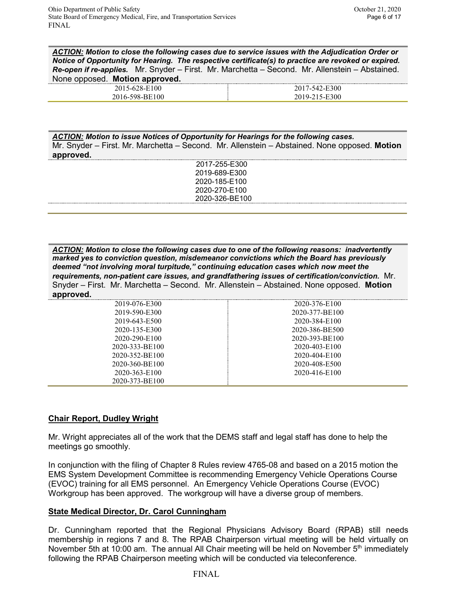*ACTION: Motion to close the following cases due to service issues with the Adjudication Order or Notice of Opportunity for Hearing. The respective certificate(s) to practice are revoked or expired. Re-open if re-applies.* Mr. Snyder – First. Mr. Marchetta – Second. Mr. Allenstein – Abstained. None opposed. **Motion approved.**

| - 11<br>ZU.<br>. .                               |  |
|--------------------------------------------------|--|
| .<br>--<br>$\sim$<br>and the control of the con- |  |

*ACTION: Motion to issue Notices of Opportunity for Hearings for the following cases.*  Mr. Snyder – First. Mr. Marchetta – Second. Mr. Allenstein – Abstained. None opposed. **Motion approved.**

| 2017-255-E300  |  |
|----------------|--|
| 2019-689-E300  |  |
| 2020-185-E100  |  |
| 2020-270-E100  |  |
| 2020-326-BE100 |  |
|                |  |

*ACTION: Motion to close the following cases due to one of the following reasons: inadvertently marked yes to conviction question, misdemeanor convictions which the Board has previously deemed "not involving moral turpitude," continuing education cases which now meet the requirements, non-patient care issues, and grandfathering issues of certification/conviction.* Mr. Snyder – First. Mr. Marchetta – Second. Mr. Allenstein – Abstained. None opposed. **Motion approved.**

| 2019-076-E300  | 2020-376-E100  |
|----------------|----------------|
| 2019-590-E300  | 2020-377-BE100 |
| 2019-643-E500  | 2020-384-E100  |
| 2020-135-E300  | 2020-386-BE500 |
| 2020-290-E100  | 2020-393-BE100 |
| 2020-333-BE100 | 2020-403-E100  |
| 2020-352-BE100 | 2020-404-E100  |
| 2020-360-BE100 | 2020-408-E500  |
| 2020-363-E100  | 2020-416-E100  |
| 2020-373-BE100 |                |
|                |                |

## **Chair Report, Dudley Wright**

Mr. Wright appreciates all of the work that the DEMS staff and legal staff has done to help the meetings go smoothly.

In conjunction with the filing of Chapter 8 Rules review 4765-08 and based on a 2015 motion the EMS System Development Committee is recommending Emergency Vehicle Operations Course (EVOC) training for all EMS personnel. An Emergency Vehicle Operations Course (EVOC) Workgroup has been approved. The workgroup will have a diverse group of members.

## **State Medical Director, Dr. Carol Cunningham**

Dr. Cunningham reported that the Regional Physicians Advisory Board (RPAB) still needs membership in regions 7 and 8. The RPAB Chairperson virtual meeting will be held virtually on November 5th at 10:00 am. The annual All Chair meeting will be held on November  $5<sup>th</sup>$  immediately following the RPAB Chairperson meeting which will be conducted via teleconference.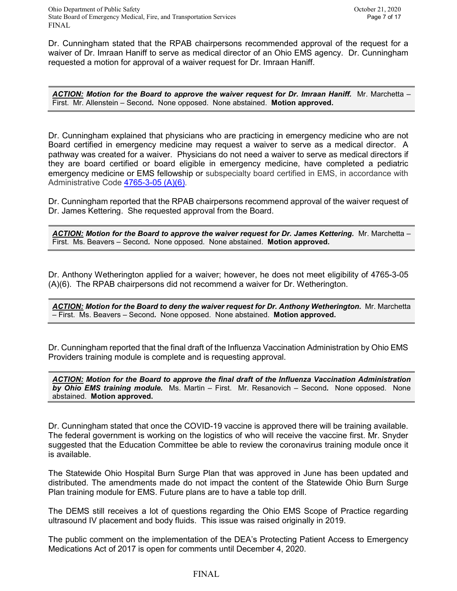Dr. Cunningham stated that the RPAB chairpersons recommended approval of the request for a waiver of Dr. Imraan Haniff to serve as medical director of an Ohio EMS agency. Dr. Cunningham requested a motion for approval of a waiver request for Dr. Imraan Haniff.

*ACTION: Motion for the Board to approve the waiver request for Dr. Imraan Haniff.* Mr. Marchetta – First. Mr. Allenstein – Second*.* None opposed. None abstained. **Motion approved.**

Dr. Cunningham explained that physicians who are practicing in emergency medicine who are not Board certified in emergency medicine may request a waiver to serve as a medical director. A pathway was created for a waiver. Physicians do not need a waiver to serve as medical directors if they are board certified or board eligible in emergency medicine, have completed a pediatric emergency medicine or EMS fellowship or subspecialty board certified in EMS, in accordance with Administrative Code [4765-3-05 \(A\)\(6\)](http://codes.ohio.gov/oac/4765-3-05v1).

Dr. Cunningham reported that the RPAB chairpersons recommend approval of the waiver request of Dr. James Kettering. She requested approval from the Board.

*ACTION: Motion for the Board to approve the waiver request for Dr. James Kettering.* Mr. Marchetta – First. Ms. Beavers – Second*.* None opposed. None abstained. **Motion approved.**

Dr. Anthony Wetherington applied for a waiver; however, he does not meet eligibility of 4765-3-05 (A)(6). The RPAB chairpersons did not recommend a waiver for Dr. Wetherington.

*ACTION: Motion for the Board to deny the waiver request for Dr. Anthony Wetherington.* Mr. Marchetta – First. Ms. Beavers – Second*.* None opposed. None abstained. **Motion approved.**

Dr. Cunningham reported that the final draft of the Influenza Vaccination Administration by Ohio EMS Providers training module is complete and is requesting approval.

*ACTION: Motion for the Board to approve the final draft of the Influenza Vaccination Administration by Ohio EMS training module.* Ms. Martin – First. Mr. Resanovich – Second*.* None opposed. None abstained. **Motion approved.**

Dr. Cunningham stated that once the COVID-19 vaccine is approved there will be training available. The federal government is working on the logistics of who will receive the vaccine first. Mr. Snyder suggested that the Education Committee be able to review the coronavirus training module once it is available.

The Statewide Ohio Hospital Burn Surge Plan that was approved in June has been updated and distributed. The amendments made do not impact the content of the Statewide Ohio Burn Surge Plan training module for EMS. Future plans are to have a table top drill.

The DEMS still receives a lot of questions regarding the Ohio EMS Scope of Practice regarding ultrasound IV placement and body fluids. This issue was raised originally in 2019.

The public comment on the implementation of the DEA's Protecting Patient Access to Emergency Medications Act of 2017 is open for comments until December 4, 2020.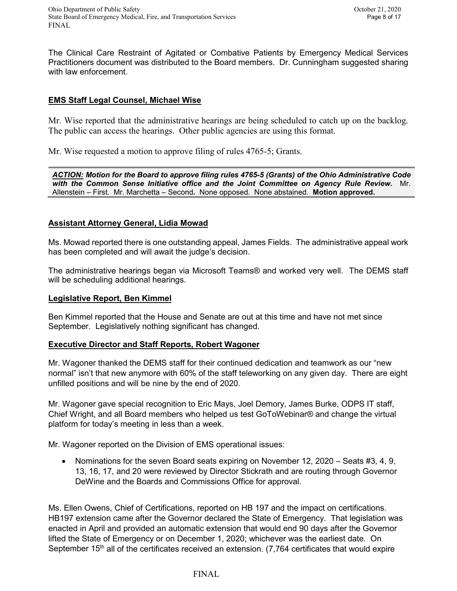The Clinical Care Restraint of Agitated or Combative Patients by Emergency Medical Services Practitioners document was distributed to the Board members. Dr. Cunningham suggested sharing with law enforcement.

## **EMS Staff Legal Counsel, Michael Wise**

Mr. Wise reported that the administrative hearings are being scheduled to catch up on the backlog. The public can access the hearings. Other public agencies are using this format.

Mr. Wise requested a motion to approve filing of rules 4765-5; Grants.

*ACTION: Motion for the Board to approve filing rules 4765-5 (Grants) of the Ohio Administrative Code with the Common Sense Initiative office and the Joint Committee on Agency Rule Review.* Mr. Allenstein – First. Mr. Marchetta – Second*.* None opposed. None abstained. **Motion approved.**

## **Assistant Attorney General, Lidia Mowad**

Ms. Mowad reported there is one outstanding appeal, James Fields. The administrative appeal work has been completed and will await the judge's decision.

The administrative hearings began via Microsoft Teams® and worked very well. The DEMS staff will be scheduling additional hearings.

## **Legislative Report, Ben Kimmel**

Ben Kimmel reported that the House and Senate are out at this time and have not met since September. Legislatively nothing significant has changed.

## **Executive Director and Staff Reports, Robert Wagoner**

Mr. Wagoner thanked the DEMS staff for their continued dedication and teamwork as our "new normal" isn't that new anymore with 60% of the staff teleworking on any given day. There are eight unfilled positions and will be nine by the end of 2020.

Mr. Wagoner gave special recognition to Eric Mays, Joel Demory, James Burke, ODPS IT staff, Chief Wright, and all Board members who helped us test GoToWebinar® and change the virtual platform for today's meeting in less than a week.

Mr. Wagoner reported on the Division of EMS operational issues:

• Nominations for the seven Board seats expiring on November 12, 2020 – Seats #3, 4, 9, 13, 16, 17, and 20 were reviewed by Director Stickrath and are routing through Governor DeWine and the Boards and Commissions Office for approval.

Ms. Ellen Owens, Chief of Certifications, reported on HB 197 and the impact on certifications. HB197 extension came after the Governor declared the State of Emergency. That legislation was enacted in April and provided an automatic extension that would end 90 days after the Governor lifted the State of Emergency or on December 1, 2020; whichever was the earliest date. On September 15<sup>th</sup> all of the certificates received an extension. (7,764 certificates that would expire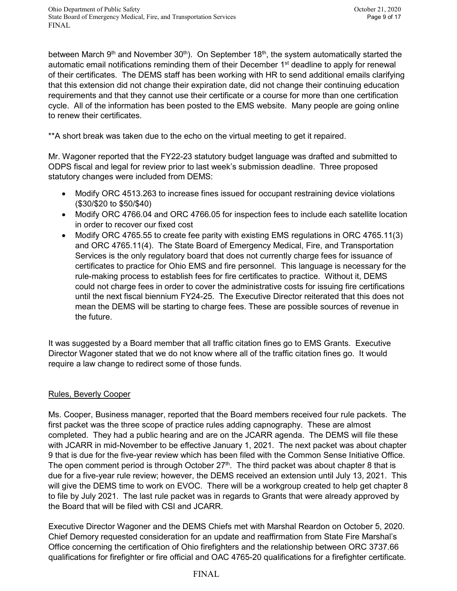between March 9<sup>th</sup> and November 30<sup>th</sup>). On September 18<sup>th</sup>, the system automatically started the automatic email notifications reminding them of their December 1<sup>st</sup> deadline to apply for renewal of their certificates. The DEMS staff has been working with HR to send additional emails clarifying that this extension did not change their expiration date, did not change their continuing education requirements and that they cannot use their certificate or a course for more than one certification cycle. All of the information has been posted to the EMS website. Many people are going online to renew their certificates.

\*\*A short break was taken due to the echo on the virtual meeting to get it repaired.

Mr. Wagoner reported that the FY22-23 statutory budget language was drafted and submitted to ODPS fiscal and legal for review prior to last week's submission deadline. Three proposed statutory changes were included from DEMS:

- Modify ORC 4513.263 to increase fines issued for occupant restraining device violations (\$30/\$20 to \$50/\$40)
- Modify ORC 4766.04 and ORC 4766.05 for inspection fees to include each satellite location in order to recover our fixed cost
- Modify ORC 4765.55 to create fee parity with existing EMS regulations in ORC 4765.11(3) and ORC 4765.11(4). The State Board of Emergency Medical, Fire, and Transportation Services is the only regulatory board that does not currently charge fees for issuance of certificates to practice for Ohio EMS and fire personnel. This language is necessary for the rule-making process to establish fees for fire certificates to practice. Without it, DEMS could not charge fees in order to cover the administrative costs for issuing fire certifications until the next fiscal biennium FY24-25. The Executive Director reiterated that this does not mean the DEMS will be starting to charge fees. These are possible sources of revenue in the future.

It was suggested by a Board member that all traffic citation fines go to EMS Grants. Executive Director Wagoner stated that we do not know where all of the traffic citation fines go. It would require a law change to redirect some of those funds.

## Rules, Beverly Cooper

Ms. Cooper, Business manager, reported that the Board members received four rule packets. The first packet was the three scope of practice rules adding capnography. These are almost completed. They had a public hearing and are on the JCARR agenda. The DEMS will file these with JCARR in mid-November to be effective January 1, 2021. The next packet was about chapter 9 that is due for the five-year review which has been filed with the Common Sense Initiative Office. The open comment period is through October  $27<sup>th</sup>$ . The third packet was about chapter 8 that is due for a five-year rule review; however, the DEMS received an extension until July 13, 2021. This will give the DEMS time to work on EVOC. There will be a workgroup created to help get chapter 8 to file by July 2021. The last rule packet was in regards to Grants that were already approved by the Board that will be filed with CSI and JCARR.

Executive Director Wagoner and the DEMS Chiefs met with Marshal Reardon on October 5, 2020. Chief Demory requested consideration for an update and reaffirmation from State Fire Marshal's Office concerning the certification of Ohio firefighters and the relationship between ORC 3737.66 qualifications for firefighter or fire official and OAC 4765-20 qualifications for a firefighter certificate.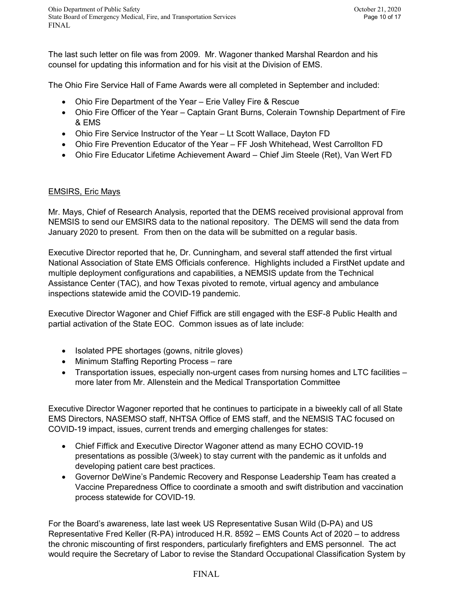The last such letter on file was from 2009. Mr. Wagoner thanked Marshal Reardon and his counsel for updating this information and for his visit at the Division of EMS.

The Ohio Fire Service Hall of Fame Awards were all completed in September and included:

- Ohio Fire Department of the Year Erie Valley Fire & Rescue
- Ohio Fire Officer of the Year Captain Grant Burns, Colerain Township Department of Fire & EMS
- Ohio Fire Service Instructor of the Year Lt Scott Wallace, Dayton FD
- Ohio Fire Prevention Educator of the Year FF Josh Whitehead, West Carrollton FD
- Ohio Fire Educator Lifetime Achievement Award Chief Jim Steele (Ret), Van Wert FD

## EMSIRS, Eric Mays

Mr. Mays, Chief of Research Analysis, reported that the DEMS received provisional approval from NEMSIS to send our EMSIRS data to the national repository. The DEMS will send the data from January 2020 to present. From then on the data will be submitted on a regular basis.

Executive Director reported that he, Dr. Cunningham, and several staff attended the first virtual National Association of State EMS Officials conference. Highlights included a FirstNet update and multiple deployment configurations and capabilities, a NEMSIS update from the Technical Assistance Center (TAC), and how Texas pivoted to remote, virtual agency and ambulance inspections statewide amid the COVID-19 pandemic.

Executive Director Wagoner and Chief Fiffick are still engaged with the ESF-8 Public Health and partial activation of the State EOC. Common issues as of late include:

- Isolated PPE shortages (gowns, nitrile gloves)
- Minimum Staffing Reporting Process rare
- Transportation issues, especially non-urgent cases from nursing homes and LTC facilities more later from Mr. Allenstein and the Medical Transportation Committee

Executive Director Wagoner reported that he continues to participate in a biweekly call of all State EMS Directors, NASEMSO staff, NHTSA Office of EMS staff, and the NEMSIS TAC focused on COVID-19 impact, issues, current trends and emerging challenges for states:

- Chief Fiffick and Executive Director Wagoner attend as many ECHO COVID-19 presentations as possible (3/week) to stay current with the pandemic as it unfolds and developing patient care best practices.
- Governor DeWine's Pandemic Recovery and Response Leadership Team has created a Vaccine Preparedness Office to coordinate a smooth and swift distribution and vaccination process statewide for COVID-19.

For the Board's awareness, late last week US Representative Susan Wild (D-PA) and US Representative Fred Keller (R-PA) introduced H.R. 8592 – EMS Counts Act of 2020 – to address the chronic miscounting of first responders, particularly firefighters and EMS personnel. The act would require the Secretary of Labor to revise the Standard Occupational Classification System by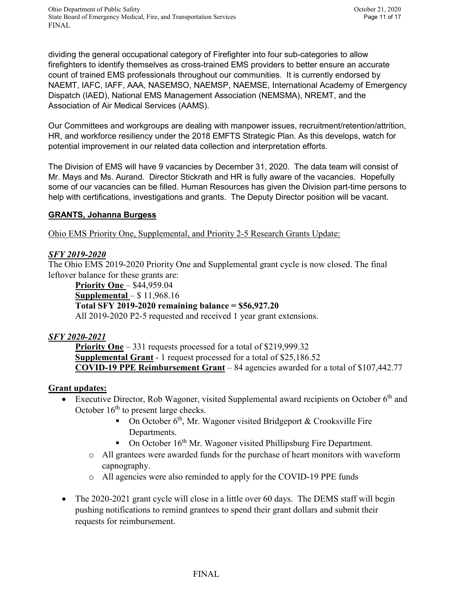dividing the general occupational category of Firefighter into four sub-categories to allow firefighters to identify themselves as cross-trained EMS providers to better ensure an accurate count of trained EMS professionals throughout our communities. It is currently endorsed by NAEMT, IAFC, IAFF, AAA, NASEMSO, NAEMSP, NAEMSE, International Academy of Emergency Dispatch (IAED), National EMS Management Association (NEMSMA), NREMT, and the Association of Air Medical Services (AAMS).

Our Committees and workgroups are dealing with manpower issues, recruitment/retention/attrition, HR, and workforce resiliency under the 2018 EMFTS Strategic Plan. As this develops, watch for potential improvement in our related data collection and interpretation efforts.

The Division of EMS will have 9 vacancies by December 31, 2020. The data team will consist of Mr. Mays and Ms. Aurand. Director Stickrath and HR is fully aware of the vacancies. Hopefully some of our vacancies can be filled. Human Resources has given the Division part-time persons to help with certifications, investigations and grants. The Deputy Director position will be vacant.

# **GRANTS, Johanna Burgess**

Ohio EMS Priority One, Supplemental, and Priority 2-5 Research Grants Update:

# *SFY 2019-2020*

The Ohio EMS 2019-2020 Priority One and Supplemental grant cycle is now closed. The final leftover balance for these grants are:

**Priority One – \$44,959.04 Supplemental** – \$ 11,968.16 **Total SFY 2019-2020 remaining balance = \$56,927.20** All 2019-2020 P2-5 requested and received 1 year grant extensions.

# *SFY 2020-2021*

**Priority One** – 331 requests processed for a total of \$219,999.32 **Supplemental Grant** - 1 request processed for a total of \$25,186.52 **COVID-19 PPE Reimbursement Grant** – 84 agencies awarded for a total of \$107,442.77

# **Grant updates:**

- Executive Director, Rob Wagoner, visited Supplemental award recipients on October  $6<sup>th</sup>$  and October  $16<sup>th</sup>$  to present large checks.
	- On October  $6<sup>th</sup>$ , Mr. Wagoner visited Bridgeport & Crooksville Fire Departments.
	- $\blacksquare$  On October 16<sup>th</sup> Mr. Wagoner visited Phillipsburg Fire Department.
	- o All grantees were awarded funds for the purchase of heart monitors with waveform capnography.
	- o All agencies were also reminded to apply for the COVID-19 PPE funds
- The 2020-2021 grant cycle will close in a little over 60 days. The DEMS staff will begin pushing notifications to remind grantees to spend their grant dollars and submit their requests for reimbursement.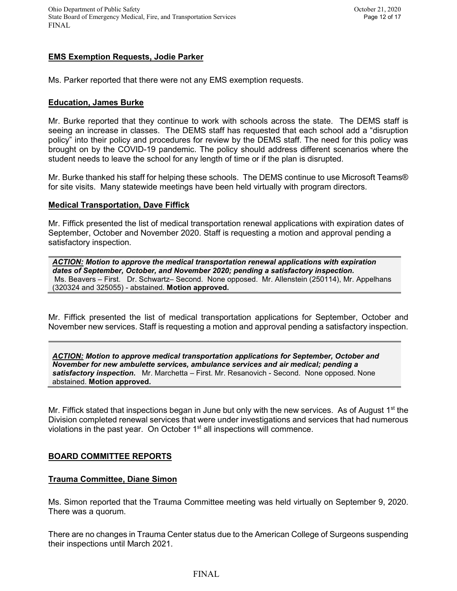## **EMS Exemption Requests, Jodie Parker**

Ms. Parker reported that there were not any EMS exemption requests.

#### **Education, James Burke**

Mr. Burke reported that they continue to work with schools across the state. The DEMS staff is seeing an increase in classes. The DEMS staff has requested that each school add a "disruption policy" into their policy and procedures for review by the DEMS staff. The need for this policy was brought on by the COVID-19 pandemic. The policy should address different scenarios where the student needs to leave the school for any length of time or if the plan is disrupted.

Mr. Burke thanked his staff for helping these schools. The DEMS continue to use Microsoft Teams® for site visits. Many statewide meetings have been held virtually with program directors.

### **Medical Transportation, Dave Fiffick**

Mr. Fiffick presented the list of medical transportation renewal applications with expiration dates of September, October and November 2020. Staff is requesting a motion and approval pending a satisfactory inspection.

*ACTION: Motion to approve the medical transportation renewal applications with expiration dates of September, October, and November 2020; pending a satisfactory inspection.* Ms. Beavers – First. Dr. Schwartz– Second. None opposed. Mr. Allenstein (250114), Mr. Appelhans (320324 and 325055) - abstained. **Motion approved.**

Mr. Fiffick presented the list of medical transportation applications for September, October and November new services. Staff is requesting a motion and approval pending a satisfactory inspection.

*ACTION: Motion to approve medical transportation applications for September, October and November for new ambulette services, ambulance services and air medical; pending a satisfactory inspection.* Mr. Marchetta – First. Mr. Resanovich - Second. None opposed. None abstained. **Motion approved.**

Mr. Fiffick stated that inspections began in June but only with the new services. As of August 1<sup>st</sup> the Division completed renewal services that were under investigations and services that had numerous violations in the past year. On October  $1<sup>st</sup>$  all inspections will commence.

## **BOARD COMMITTEE REPORTS**

## **Trauma Committee, Diane Simon**

Ms. Simon reported that the Trauma Committee meeting was held virtually on September 9, 2020. There was a quorum.

There are no changes in Trauma Center status due to the American College of Surgeons suspending their inspections until March 2021.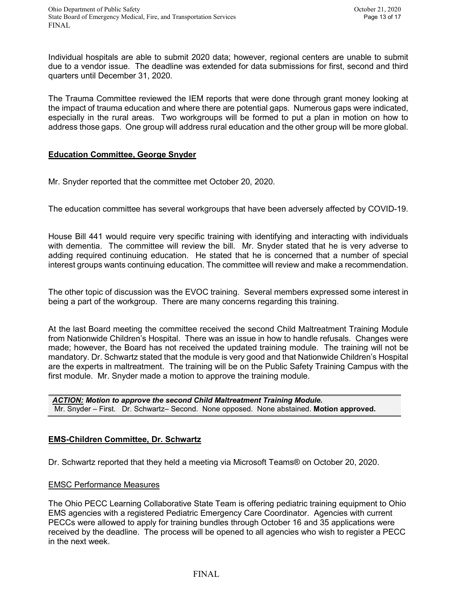Individual hospitals are able to submit 2020 data; however, regional centers are unable to submit due to a vendor issue. The deadline was extended for data submissions for first, second and third quarters until December 31, 2020.

The Trauma Committee reviewed the IEM reports that were done through grant money looking at the impact of trauma education and where there are potential gaps. Numerous gaps were indicated, especially in the rural areas. Two workgroups will be formed to put a plan in motion on how to address those gaps. One group will address rural education and the other group will be more global.

## **Education Committee, George Snyder**

Mr. Snyder reported that the committee met October 20, 2020.

The education committee has several workgroups that have been adversely affected by COVID-19.

House Bill 441 would require very specific training with identifying and interacting with individuals with dementia. The committee will review the bill. Mr. Snyder stated that he is very adverse to adding required continuing education. He stated that he is concerned that a number of special interest groups wants continuing education. The committee will review and make a recommendation.

The other topic of discussion was the EVOC training. Several members expressed some interest in being a part of the workgroup. There are many concerns regarding this training.

At the last Board meeting the committee received the second Child Maltreatment Training Module from Nationwide Children's Hospital. There was an issue in how to handle refusals. Changes were made; however, the Board has not received the updated training module. The training will not be mandatory. Dr. Schwartz stated that the module is very good and that Nationwide Children's Hospital are the experts in maltreatment. The training will be on the Public Safety Training Campus with the first module. Mr. Snyder made a motion to approve the training module.

*ACTION: Motion to approve the second Child Maltreatment Training Module.* Mr. Snyder – First. Dr. Schwartz– Second. None opposed. None abstained. **Motion approved.**

## **EMS-Children Committee, Dr. Schwartz**

Dr. Schwartz reported that they held a meeting via Microsoft Teams® on October 20, 2020.

#### EMSC Performance Measures

The Ohio PECC Learning Collaborative State Team is offering pediatric training equipment to Ohio EMS agencies with a registered Pediatric Emergency Care Coordinator. Agencies with current PECCs were allowed to apply for training bundles through October 16 and 35 applications were received by the deadline. The process will be opened to all agencies who wish to register a PECC in the next week.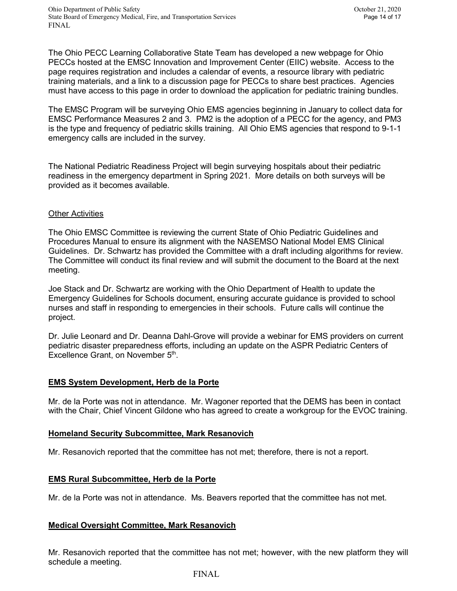Ohio Department of Public Safety October 21, 2020 State Board of Emergency Medical, Fire, and Transportation Services Page 14 of 17 FINAL

The Ohio PECC Learning Collaborative State Team has developed a new webpage for Ohio PECCs hosted at the EMSC Innovation and Improvement Center (EIIC) website. Access to the page requires registration and includes a calendar of events, a resource library with pediatric training materials, and a link to a discussion page for PECCs to share best practices. Agencies must have access to this page in order to download the application for pediatric training bundles.

The EMSC Program will be surveying Ohio EMS agencies beginning in January to collect data for EMSC Performance Measures 2 and 3. PM2 is the adoption of a PECC for the agency, and PM3 is the type and frequency of pediatric skills training. All Ohio EMS agencies that respond to 9-1-1 emergency calls are included in the survey.

The National Pediatric Readiness Project will begin surveying hospitals about their pediatric readiness in the emergency department in Spring 2021. More details on both surveys will be provided as it becomes available.

#### Other Activities

The Ohio EMSC Committee is reviewing the current State of Ohio Pediatric Guidelines and Procedures Manual to ensure its alignment with the NASEMSO National Model EMS Clinical Guidelines. Dr. Schwartz has provided the Committee with a draft including algorithms for review. The Committee will conduct its final review and will submit the document to the Board at the next meeting.

Joe Stack and Dr. Schwartz are working with the Ohio Department of Health to update the Emergency Guidelines for Schools document, ensuring accurate guidance is provided to school nurses and staff in responding to emergencies in their schools. Future calls will continue the project.

Dr. Julie Leonard and Dr. Deanna Dahl-Grove will provide a webinar for EMS providers on current pediatric disaster preparedness efforts, including an update on the ASPR Pediatric Centers of Excellence Grant, on November 5<sup>th</sup>.

## **EMS System Development, Herb de la Porte**

Mr. de la Porte was not in attendance. Mr. Wagoner reported that the DEMS has been in contact with the Chair, Chief Vincent Gildone who has agreed to create a workgroup for the EVOC training.

## **Homeland Security Subcommittee, Mark Resanovich**

Mr. Resanovich reported that the committee has not met; therefore, there is not a report.

## **EMS Rural Subcommittee, Herb de la Porte**

Mr. de la Porte was not in attendance. Ms. Beavers reported that the committee has not met.

## **Medical Oversight Committee, Mark Resanovich**

Mr. Resanovich reported that the committee has not met; however, with the new platform they will schedule a meeting.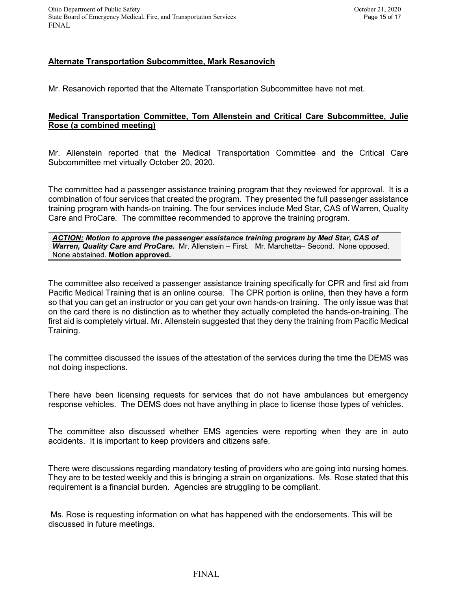## **Alternate Transportation Subcommittee, Mark Resanovich**

Mr. Resanovich reported that the Alternate Transportation Subcommittee have not met.

### **Medical Transportation Committee, Tom Allenstein and Critical Care Subcommittee, Julie Rose (a combined meeting)**

Mr. Allenstein reported that the Medical Transportation Committee and the Critical Care Subcommittee met virtually October 20, 2020.

The committee had a passenger assistance training program that they reviewed for approval. It is a combination of four services that created the program. They presented the full passenger assistance training program with hands-on training. The four services include Med Star, CAS of Warren, Quality Care and ProCare. The committee recommended to approve the training program.

*ACTION: Motion to approve the passenger assistance training program by Med Star, CAS of Warren, Quality Care and ProCare.* Mr. Allenstein – First. Mr. Marchetta– Second. None opposed. None abstained. **Motion approved.**

The committee also received a passenger assistance training specifically for CPR and first aid from Pacific Medical Training that is an online course. The CPR portion is online, then they have a form so that you can get an instructor or you can get your own hands-on training. The only issue was that on the card there is no distinction as to whether they actually completed the hands-on-training. The first aid is completely virtual. Mr. Allenstein suggested that they deny the training from Pacific Medical Training.

The committee discussed the issues of the attestation of the services during the time the DEMS was not doing inspections.

There have been licensing requests for services that do not have ambulances but emergency response vehicles. The DEMS does not have anything in place to license those types of vehicles.

The committee also discussed whether EMS agencies were reporting when they are in auto accidents. It is important to keep providers and citizens safe.

There were discussions regarding mandatory testing of providers who are going into nursing homes. They are to be tested weekly and this is bringing a strain on organizations. Ms. Rose stated that this requirement is a financial burden. Agencies are struggling to be compliant.

Ms. Rose is requesting information on what has happened with the endorsements. This will be discussed in future meetings.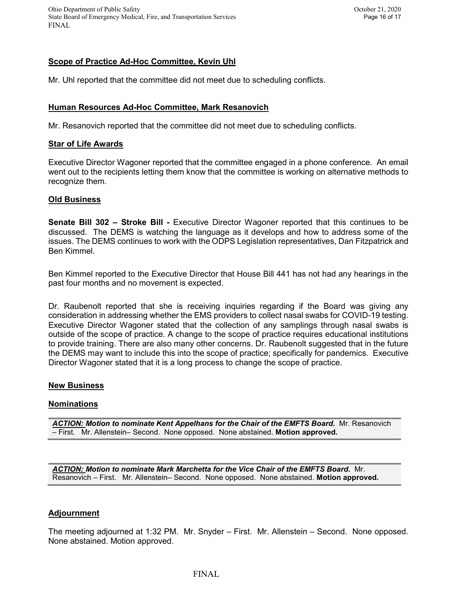Ohio Department of Public Safety October 21, 2020 State Board of Emergency Medical, Fire, and Transportation Services Page 16 of 17 FINAL

## **Scope of Practice Ad-Hoc Committee, Kevin Uhl**

Mr. Uhl reported that the committee did not meet due to scheduling conflicts.

#### **Human Resources Ad-Hoc Committee, Mark Resanovich**

Mr. Resanovich reported that the committee did not meet due to scheduling conflicts.

#### **Star of Life Awards**

Executive Director Wagoner reported that the committee engaged in a phone conference. An email went out to the recipients letting them know that the committee is working on alternative methods to recognize them.

#### **Old Business**

**Senate Bill 302 – Stroke Bill -** Executive Director Wagoner reported that this continues to be discussed. The DEMS is watching the language as it develops and how to address some of the issues. The DEMS continues to work with the ODPS Legislation representatives, Dan Fitzpatrick and Ben Kimmel.

Ben Kimmel reported to the Executive Director that House Bill 441 has not had any hearings in the past four months and no movement is expected.

Dr. Raubenolt reported that she is receiving inquiries regarding if the Board was giving any consideration in addressing whether the EMS providers to collect nasal swabs for COVID-19 testing. Executive Director Wagoner stated that the collection of any samplings through nasal swabs is outside of the scope of practice. A change to the scope of practice requires educational institutions to provide training. There are also many other concerns. Dr. Raubenolt suggested that in the future the DEMS may want to include this into the scope of practice; specifically for pandemics. Executive Director Wagoner stated that it is a long process to change the scope of practice.

#### **New Business**

#### **Nominations**

*ACTION: Motion to nominate Kent Appelhans for the Chair of the EMFTS Board.* Mr. Resanovich – First. Mr. Allenstein– Second. None opposed. None abstained. **Motion approved.**

*ACTION: Motion to nominate Mark Marchetta for the Vice Chair of the EMFTS Board.* Mr. Resanovich – First. Mr. Allenstein– Second. None opposed. None abstained. **Motion approved.**

#### **Adjournment**

The meeting adjourned at 1:32 PM. Mr. Snyder – First. Mr. Allenstein – Second. None opposed. None abstained. Motion approved.